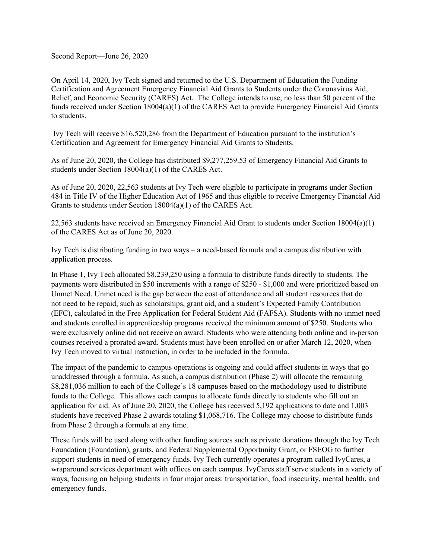Second Report—June 26, 2020

On April 14, 2020, Ivy Tech signed and returned to the U.S. Department of Education the Funding Certification and Agreement Emergency Financial Aid Grants to Students under the Coronavirus Aid, Relief, and Economic Security (CARES) Act. The College intends to use, no less than 50 percent of the funds received under Section 18004(a)(1) of the CARES Act to provide Emergency Financial Aid Grants to students.

Ivy Tech will receive \$16,520,286 from the Department of Education pursuant to the institution's Certification and Agreement for Emergency Financial Aid Grants to Students.

As of June 20, 2020, the College has distributed \$9,277,259.53 of Emergency Financial Aid Grants to students under Section 18004(a)(1) of the CARES Act.

As of June 20, 2020, 22,563 students at Ivy Tech were eligible to participate in programs under Section 484 in Title IV of the Higher Education Act of 1965 and thus eligible to receive Emergency Financial Aid Grants to students under Section 18004(a)(1) of the CARES Act.

22,563 students have received an Emergency Financial Aid Grant to students under Section 18004(a)(1) of the CARES Act as of June 20, 2020.

Ivy Tech is distributing funding in two ways – a need-based formula and a campus distribution with application process.

In Phase 1, Ivy Tech allocated \$8,239,250 using a formula to distribute funds directly to students. The payments were distributed in \$50 increments with a range of \$250 - \$1,000 and were prioritized based on Unmet Need. Unmet need is the gap between the cost of attendance and all student resources that do not need to be repaid, such as scholarships, grant aid, and a student's Expected Family Contribution (EFC), calculated in the Free Application for Federal Student Aid (FAFSA). Students with no unmet need and students enrolled in apprenticeship programs received the minimum amount of \$250. Students who were exclusively online did not receive an award. Students who were attending both online and in-person courses received a prorated award. Students must have been enrolled on or after March 12, 2020, when Ivy Tech moved to virtual instruction, in order to be included in the formula.

The impact of the pandemic to campus operations is ongoing and could affect students in ways that go unaddressed through a formula. As such, a campus distribution (Phase 2) will allocate the remaining \$8,281,036 million to each of the College's 18 campuses based on the methodology used to distribute funds to the College. This allows each campus to allocate funds directly to students who fill out an application for aid. As of June 20, 2020, the College has received 5,192 applications to date and 1,003 students have received Phase 2 awards totaling \$1,068,716. The College may choose to distribute funds from Phase 2 through a formula at any time.

These funds will be used along with other funding sources such as private donations through the Ivy Tech Foundation (Foundation), grants, and Federal Supplemental Opportunity Grant, or FSEOG to further support students in need of emergency funds. Ivy Tech currently operates a program called IvyCares, a wraparound services department with offices on each campus. IvyCares staff serve students in a variety of ways, focusing on helping students in four major areas: transportation, food insecurity, mental health, and emergency funds.